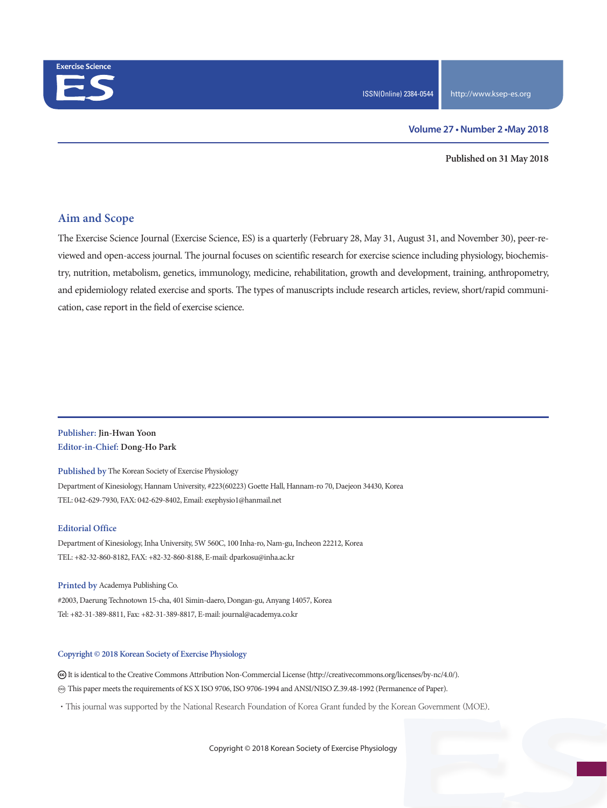

#### **Volume 27 • Number 2 •May 2018**

**Published on 31 May 2018**

## **Aim and Scope**

The Exercise Science Journal (Exercise Science, ES) is a quarterly (February 28, May 31, August 31, and November 30), peer-reviewed and open-access journal. The journal focuses on scientific research for exercise science including physiology, biochemistry, nutrition, metabolism, genetics, immunology, medicine, rehabilitation, growth and development, training, anthropometry, and epidemiology related exercise and sports. The types of manuscripts include research articles, review, short/rapid communication, case report in the field of exercise science.

### **Publisher: Jin-Hwan Yoon Editor-in-Chief: Dong-Ho Park**

**Published by** The Korean Society of Exercise Physiology Department of Kinesiology, Hannam University, #223(60223) Goette Hall, Hannam-ro 70, Daejeon 34430, Korea TEL: 042-629-7930, FAX: 042-629-8402, Email: exephysio1@hanmail.net

#### **Editorial Office**

Department of Kinesiology, Inha University, 5W 560C, 100 Inha-ro, Nam-gu, Incheon 22212, Korea TEL: +82-32-860-8182, FAX: +82-32-860-8188, E-mail: dparkosu@inha.ac.kr

**Printed by** Academya Publishing Co. #2003, Daerung Technotown 15-cha, 401 Simin-daero, Dongan-gu, Anyang 14057, Korea Tel: +82-31-389-8811, Fax: +82-31-389-8817, E-mail: journal@academya.co.kr

#### **Copyright © 2018 Korean Society of Exercise Physiology**

 It is identical to the Creative Commons Attribution Non-Commercial License (http://creativecommons.org/licenses/by-nc/4.0/). ∞ This paper meets the requirements of KS X ISO 9706, ISO 9706-1994 and ANSI/NISO Z.39.48-1992 (Permanence of Paper).

·This journal was supported by the National Research Foundation of Korea Grant funded by the Korean Government (MOE).

Copyright © 2018 Korean Society of Exercise Physiology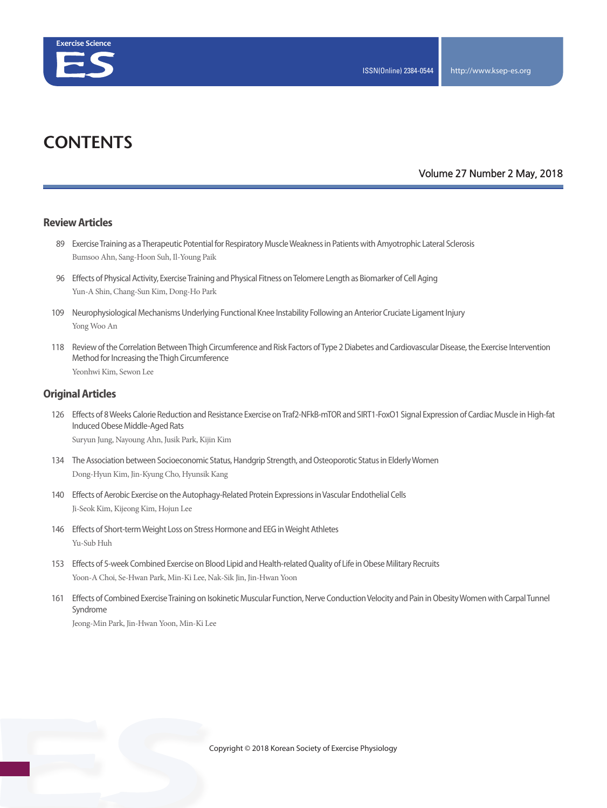

# **CONTENTS**

### **Volume 27 Number 2 May, 2018**

#### **Review Articles**

- 89 Exercise Training as a Therapeutic Potential for Respiratory Muscle Weakness in Patients with Amyotrophic Lateral Sclerosis Bumsoo Ahn, Sang-Hoon Suh, Il-Young Paik
- 96 Effects of Physical Activity, Exercise Training and Physical Fitness on Telomere Length as Biomarker of Cell Aging Yun-A Shin, Chang-Sun Kim, Dong-Ho Park
- 109 Neurophysiological Mechanisms Underlying Functional Knee Instability Following an Anterior Cruciate Ligament Injury Yong Woo An
- 118 Review of the Correlation Between Thigh Circumference and Risk Factors of Type 2 Diabetes and Cardiovascular Disease, the Exercise Intervention Method for Increasing the Thigh Circumference Yeonhwi Kim, Sewon Lee

#### **Original Articles**

126 Effects of 8 Weeks Calorie Reduction and Resistance Exercise on Traf2-NFkB-mTOR and SIRT1-FoxO1 Signal Expression of Cardiac Muscle in High-fat Induced Obese Middle-Aged Rats

Suryun Jung, Nayoung Ahn, Jusik Park, Kijin Kim

- 134 The Association between Socioeconomic Status, Handgrip Strength, and Osteoporotic Status in Elderly Women Dong-Hyun Kim, Jin-Kyung Cho, Hyunsik Kang
- 140 Effects of Aerobic Exercise on the Autophagy-Related Protein Expressions in Vascular Endothelial Cells Ji-Seok Kim, Kijeong Kim, Hojun Lee
- 146 Effects of Short-term Weight Loss on Stress Hormone and EEG in Weight Athletes Yu-Sub Huh
- 153 Effects of 5-week Combined Exercise on Blood Lipid and Health-related Quality of Life in Obese Military Recruits Yoon-A Choi, Se-Hwan Park, Min-Ki Lee, Nak-Sik Jin, Jin-Hwan Yoon
- 161 Effects of Combined Exercise Training on Isokinetic Muscular Function, Nerve Conduction Velocity and Pain in Obesity Women with Carpal Tunnel Syndrome

Jeong-Min Park, Jin-Hwan Yoon, Min-Ki Lee